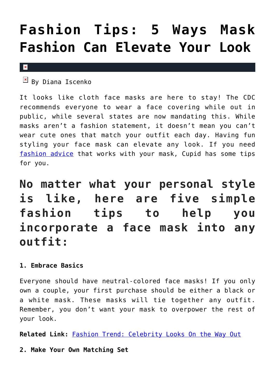# **[Fashion Tips: 5 Ways Mask](https://cupidspulse.com/135376/fashion-tips-mask-fashion-elevate-your-look/) [Fashion Can Elevate Your Look](https://cupidspulse.com/135376/fashion-tips-mask-fashion-elevate-your-look/)**

#### $\mathbf x$

 $B$ y Diana Iscenko

It looks like cloth face masks are here to stay! The CDC recommends everyone to wear a face covering while out in public, while several states are now mandating this. While masks aren't a fashion statement, it doesn't mean you can't wear cute ones that match your outfit each day. Having fun styling your face mask can elevate any look. If you need [fashion advice](http://cupidspulse.com/fashion/) that works with your mask, Cupid has some tips for you.

**No matter what your personal style is like, here are five simple fashion tips to help you incorporate a face mask into any outfit:**

# **1. Embrace Basics**

Everyone should have neutral-colored face masks! If you only own a couple, your first purchase should be either a black or a white mask. These masks will tie together any outfit. Remember, you don't want your mask to overpower the rest of your look.

**Related Link:** [Fashion Trend: Celebrity Looks On the Way Out](http://cupidspulse.com/135023/fashion-trend-celebrity-looks-on-way-out/)

**2. Make Your Own Matching Set**